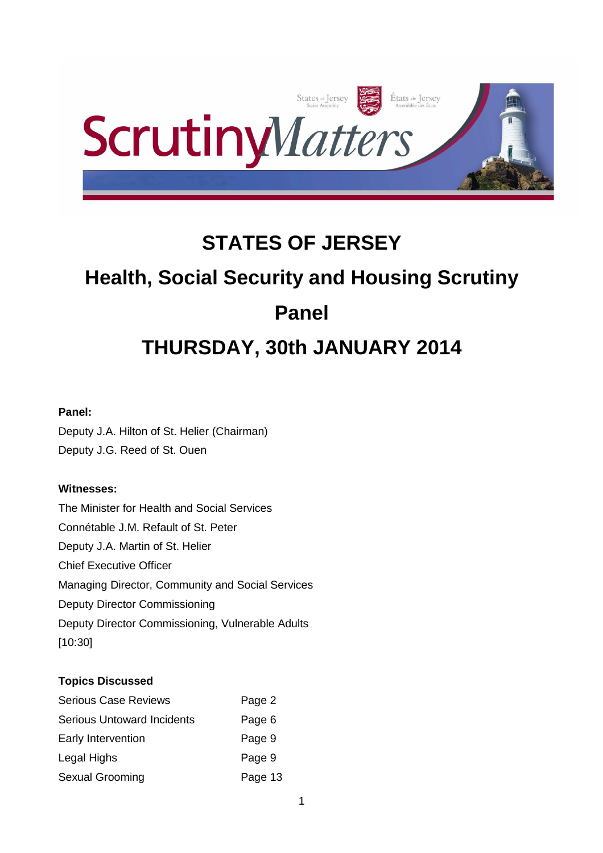

## **STATES OF JERSEY**

# **Health, Social Security and Housing Scrutiny Panel THURSDAY, 30th JANUARY 2014**

## **Panel:**

Deputy J.A. Hilton of St. Helier (Chairman) Deputy J.G. Reed of St. Ouen

## **Witnesses:**

The Minister for Health and Social Services Connétable J.M. Refault of St. Peter Deputy J.A. Martin of St. Helier Chief Executive Officer Managing Director, Community and Social Services Deputy Director Commissioning Deputy Director Commissioning, Vulnerable Adults [10:30]

## **Topics Discussed**

| <b>Serious Case Reviews</b>       | Page 2  |
|-----------------------------------|---------|
| <b>Serious Untoward Incidents</b> | Page 6  |
| Early Intervention                | Page 9  |
| Legal Highs                       | Page 9  |
| Sexual Grooming                   | Page 13 |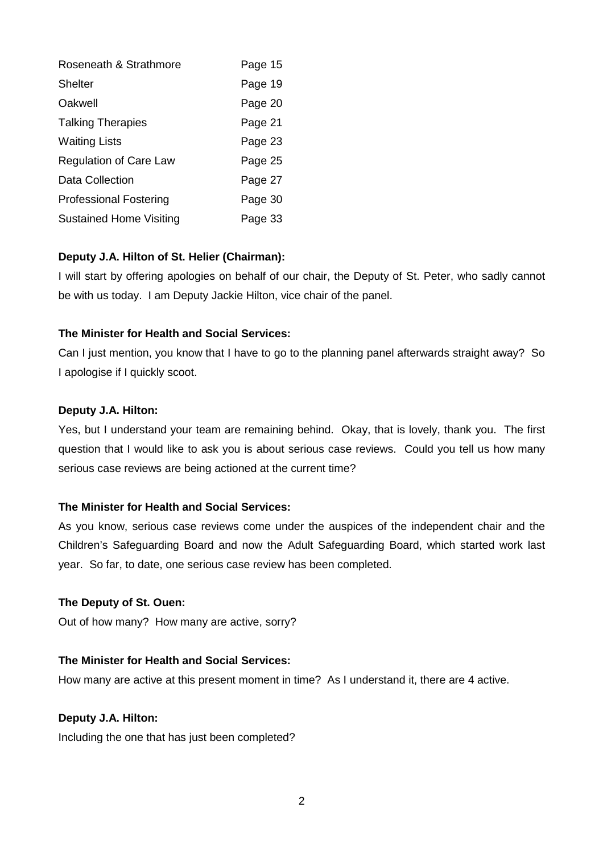| Roseneath & Strathmore        | Page 15 |
|-------------------------------|---------|
| <b>Shelter</b>                | Page 19 |
| Oakwell                       | Page 20 |
| <b>Talking Therapies</b>      | Page 21 |
| <b>Waiting Lists</b>          | Page 23 |
| <b>Regulation of Care Law</b> | Page 25 |
| Data Collection               | Page 27 |
| <b>Professional Fostering</b> | Page 30 |
| Sustained Home Visiting       | Page 33 |

## **Deputy J.A. Hilton of St. Helier (Chairman):**

I will start by offering apologies on behalf of our chair, the Deputy of St. Peter, who sadly cannot be with us today. I am Deputy Jackie Hilton, vice chair of the panel.

## **The Minister for Health and Social Services:**

Can I just mention, you know that I have to go to the planning panel afterwards straight away? So I apologise if I quickly scoot.

## **Deputy J.A. Hilton:**

Yes, but I understand your team are remaining behind. Okay, that is lovely, thank you. The first question that I would like to ask you is about serious case reviews. Could you tell us how many serious case reviews are being actioned at the current time?

## **The Minister for Health and Social Services:**

As you know, serious case reviews come under the auspices of the independent chair and the Children's Safeguarding Board and now the Adult Safeguarding Board, which started work last year. So far, to date, one serious case review has been completed.

#### **The Deputy of St. Ouen:**

Out of how many? How many are active, sorry?

## **The Minister for Health and Social Services:**

How many are active at this present moment in time? As I understand it, there are 4 active.

#### **Deputy J.A. Hilton:**

Including the one that has just been completed?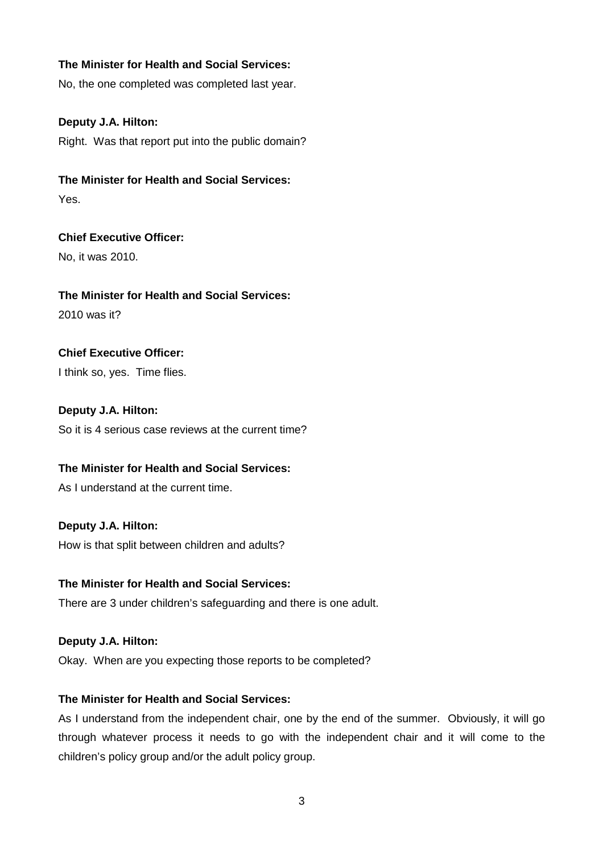## **The Minister for Health and Social Services:**

No, the one completed was completed last year.

## **Deputy J.A. Hilton:**

Right. Was that report put into the public domain?

**The Minister for Health and Social Services:** Yes.

**Chief Executive Officer:** No, it was 2010.

**The Minister for Health and Social Services:** 2010 was it?

**Chief Executive Officer:**

I think so, yes. Time flies.

**Deputy J.A. Hilton:** So it is 4 serious case reviews at the current time?

**The Minister for Health and Social Services:**

As I understand at the current time.

**Deputy J.A. Hilton:** How is that split between children and adults?

## **The Minister for Health and Social Services:**

There are 3 under children's safeguarding and there is one adult.

## **Deputy J.A. Hilton:**

Okay. When are you expecting those reports to be completed?

## **The Minister for Health and Social Services:**

As I understand from the independent chair, one by the end of the summer. Obviously, it will go through whatever process it needs to go with the independent chair and it will come to the children's policy group and/or the adult policy group.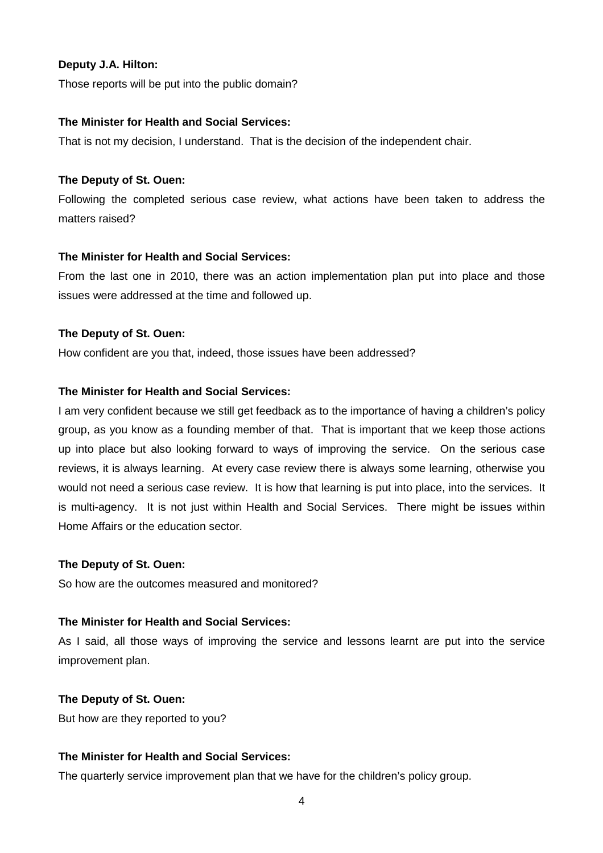## **Deputy J.A. Hilton:**

Those reports will be put into the public domain?

#### **The Minister for Health and Social Services:**

That is not my decision, I understand. That is the decision of the independent chair.

## **The Deputy of St. Ouen:**

Following the completed serious case review, what actions have been taken to address the matters raised?

## **The Minister for Health and Social Services:**

From the last one in 2010, there was an action implementation plan put into place and those issues were addressed at the time and followed up.

## **The Deputy of St. Ouen:**

How confident are you that, indeed, those issues have been addressed?

## **The Minister for Health and Social Services:**

I am very confident because we still get feedback as to the importance of having a children's policy group, as you know as a founding member of that. That is important that we keep those actions up into place but also looking forward to ways of improving the service. On the serious case reviews, it is always learning. At every case review there is always some learning, otherwise you would not need a serious case review. It is how that learning is put into place, into the services. It is multi-agency. It is not just within Health and Social Services. There might be issues within Home Affairs or the education sector.

## **The Deputy of St. Ouen:**

So how are the outcomes measured and monitored?

## **The Minister for Health and Social Services:**

As I said, all those ways of improving the service and lessons learnt are put into the service improvement plan.

## **The Deputy of St. Ouen:**

But how are they reported to you?

## **The Minister for Health and Social Services:**

The quarterly service improvement plan that we have for the children's policy group.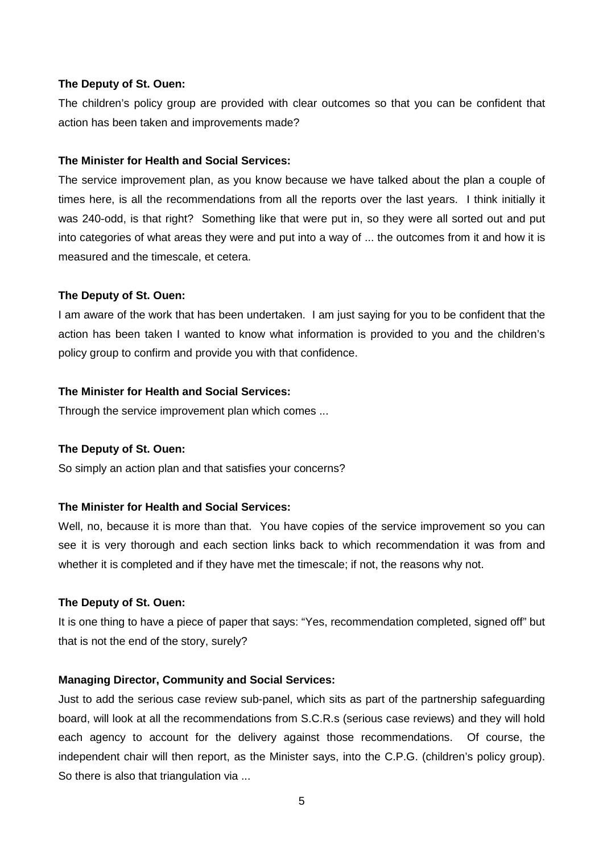The children's policy group are provided with clear outcomes so that you can be confident that action has been taken and improvements made?

#### **The Minister for Health and Social Services:**

The service improvement plan, as you know because we have talked about the plan a couple of times here, is all the recommendations from all the reports over the last years. I think initially it was 240-odd, is that right? Something like that were put in, so they were all sorted out and put into categories of what areas they were and put into a way of ... the outcomes from it and how it is measured and the timescale, et cetera.

#### **The Deputy of St. Ouen:**

I am aware of the work that has been undertaken. I am just saying for you to be confident that the action has been taken I wanted to know what information is provided to you and the children's policy group to confirm and provide you with that confidence.

#### **The Minister for Health and Social Services:**

Through the service improvement plan which comes ...

#### **The Deputy of St. Ouen:**

So simply an action plan and that satisfies your concerns?

## **The Minister for Health and Social Services:**

Well, no, because it is more than that. You have copies of the service improvement so you can see it is very thorough and each section links back to which recommendation it was from and whether it is completed and if they have met the timescale; if not, the reasons why not.

#### **The Deputy of St. Ouen:**

It is one thing to have a piece of paper that says: "Yes, recommendation completed, signed off" but that is not the end of the story, surely?

#### **Managing Director, Community and Social Services:**

Just to add the serious case review sub-panel, which sits as part of the partnership safeguarding board, will look at all the recommendations from S.C.R.s (serious case reviews) and they will hold each agency to account for the delivery against those recommendations. Of course, the independent chair will then report, as the Minister says, into the C.P.G. (children's policy group). So there is also that triangulation via ...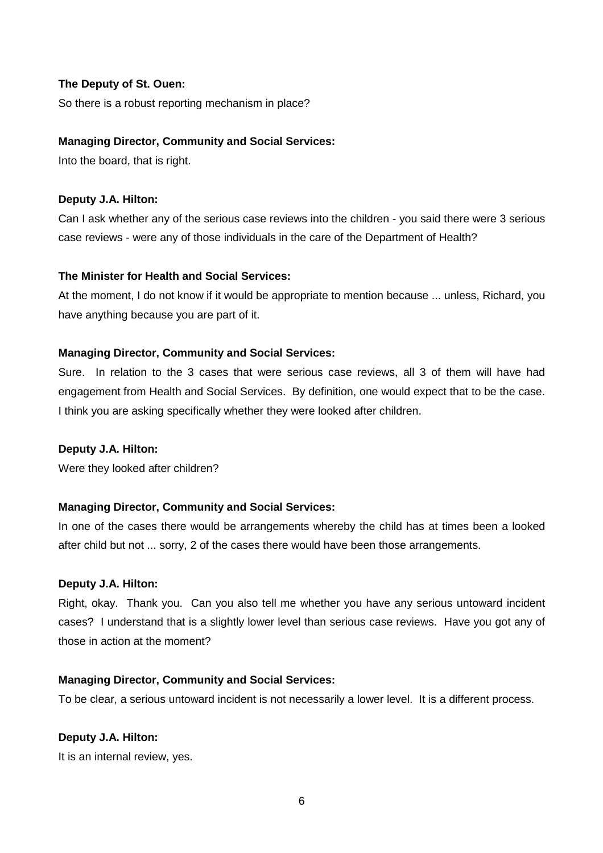So there is a robust reporting mechanism in place?

#### **Managing Director, Community and Social Services:**

Into the board, that is right.

#### **Deputy J.A. Hilton:**

Can I ask whether any of the serious case reviews into the children - you said there were 3 serious case reviews - were any of those individuals in the care of the Department of Health?

#### **The Minister for Health and Social Services:**

At the moment, I do not know if it would be appropriate to mention because ... unless, Richard, you have anything because you are part of it.

#### **Managing Director, Community and Social Services:**

Sure. In relation to the 3 cases that were serious case reviews, all 3 of them will have had engagement from Health and Social Services. By definition, one would expect that to be the case. I think you are asking specifically whether they were looked after children.

#### **Deputy J.A. Hilton:**

Were they looked after children?

#### **Managing Director, Community and Social Services:**

In one of the cases there would be arrangements whereby the child has at times been a looked after child but not ... sorry, 2 of the cases there would have been those arrangements.

#### **Deputy J.A. Hilton:**

Right, okay. Thank you. Can you also tell me whether you have any serious untoward incident cases? I understand that is a slightly lower level than serious case reviews. Have you got any of those in action at the moment?

#### **Managing Director, Community and Social Services:**

To be clear, a serious untoward incident is not necessarily a lower level. It is a different process.

#### **Deputy J.A. Hilton:**

It is an internal review, yes.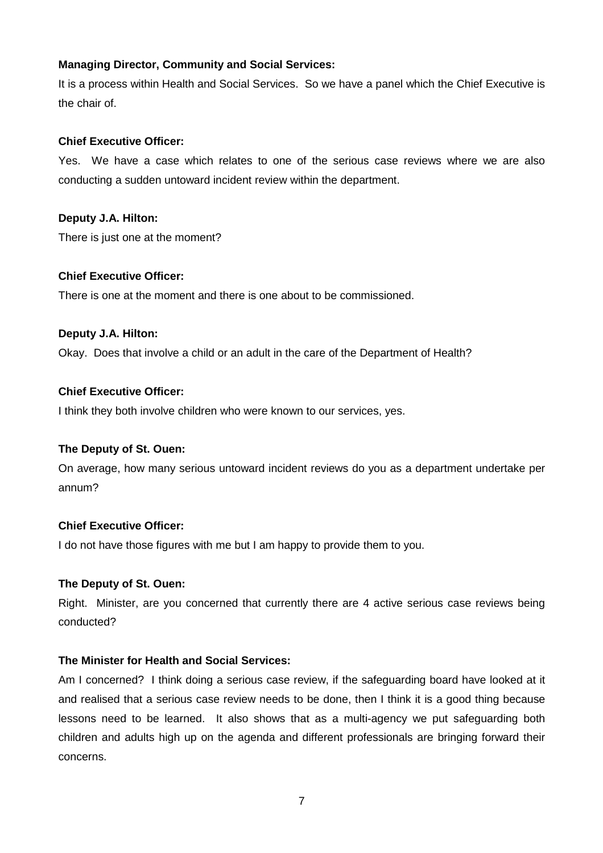## **Managing Director, Community and Social Services:**

It is a process within Health and Social Services. So we have a panel which the Chief Executive is the chair of.

## **Chief Executive Officer:**

Yes. We have a case which relates to one of the serious case reviews where we are also conducting a sudden untoward incident review within the department.

## **Deputy J.A. Hilton:**

There is just one at the moment?

## **Chief Executive Officer:**

There is one at the moment and there is one about to be commissioned.

## **Deputy J.A. Hilton:**

Okay. Does that involve a child or an adult in the care of the Department of Health?

## **Chief Executive Officer:**

I think they both involve children who were known to our services, yes.

## **The Deputy of St. Ouen:**

On average, how many serious untoward incident reviews do you as a department undertake per annum?

## **Chief Executive Officer:**

I do not have those figures with me but I am happy to provide them to you.

## **The Deputy of St. Ouen:**

Right. Minister, are you concerned that currently there are 4 active serious case reviews being conducted?

## **The Minister for Health and Social Services:**

Am I concerned? I think doing a serious case review, if the safeguarding board have looked at it and realised that a serious case review needs to be done, then I think it is a good thing because lessons need to be learned. It also shows that as a multi-agency we put safeguarding both children and adults high up on the agenda and different professionals are bringing forward their concerns.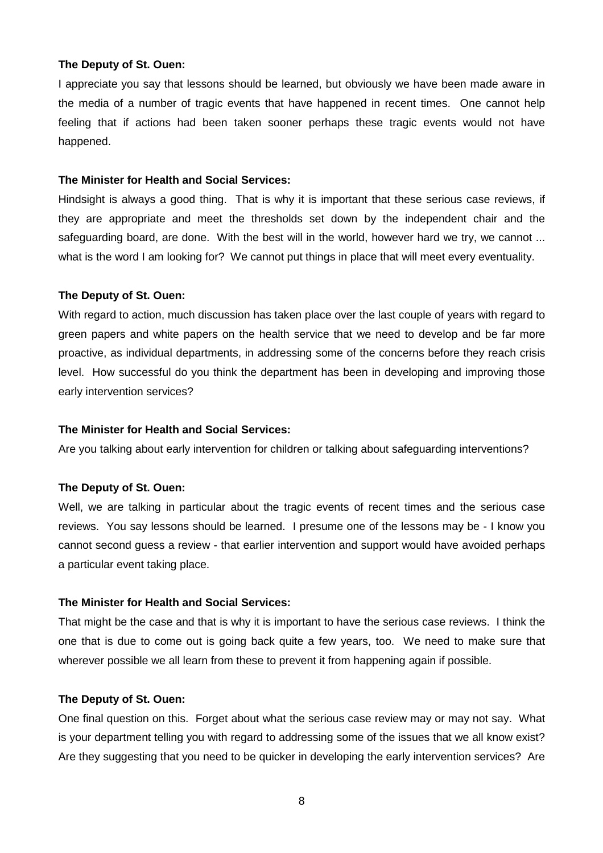I appreciate you say that lessons should be learned, but obviously we have been made aware in the media of a number of tragic events that have happened in recent times. One cannot help feeling that if actions had been taken sooner perhaps these tragic events would not have happened.

#### **The Minister for Health and Social Services:**

Hindsight is always a good thing. That is why it is important that these serious case reviews, if they are appropriate and meet the thresholds set down by the independent chair and the safeguarding board, are done. With the best will in the world, however hard we try, we cannot ... what is the word I am looking for? We cannot put things in place that will meet every eventuality.

#### **The Deputy of St. Ouen:**

With regard to action, much discussion has taken place over the last couple of years with regard to green papers and white papers on the health service that we need to develop and be far more proactive, as individual departments, in addressing some of the concerns before they reach crisis level. How successful do you think the department has been in developing and improving those early intervention services?

#### **The Minister for Health and Social Services:**

Are you talking about early intervention for children or talking about safeguarding interventions?

#### **The Deputy of St. Ouen:**

Well, we are talking in particular about the tragic events of recent times and the serious case reviews. You say lessons should be learned. I presume one of the lessons may be - I know you cannot second guess a review - that earlier intervention and support would have avoided perhaps a particular event taking place.

#### **The Minister for Health and Social Services:**

That might be the case and that is why it is important to have the serious case reviews. I think the one that is due to come out is going back quite a few years, too. We need to make sure that wherever possible we all learn from these to prevent it from happening again if possible.

#### **The Deputy of St. Ouen:**

One final question on this. Forget about what the serious case review may or may not say. What is your department telling you with regard to addressing some of the issues that we all know exist? Are they suggesting that you need to be quicker in developing the early intervention services? Are

8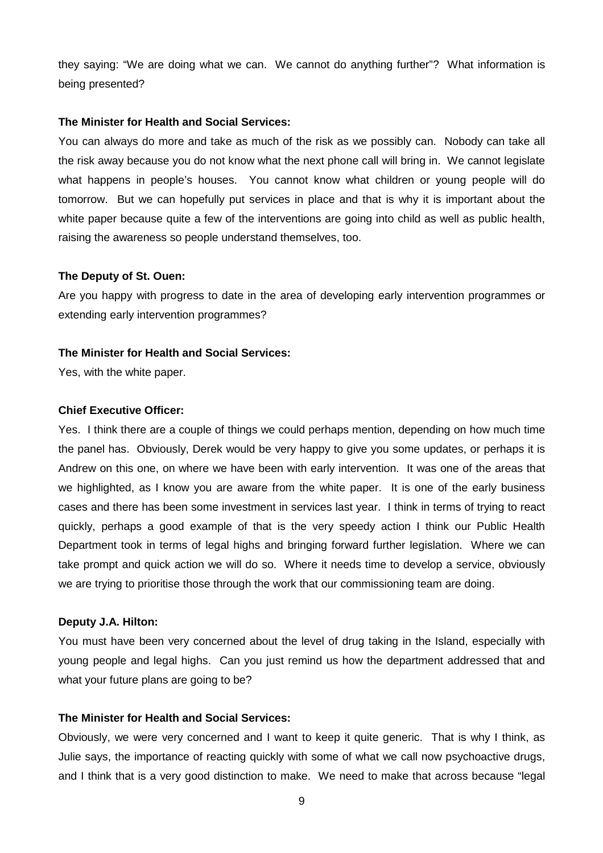they saying: "We are doing what we can. We cannot do anything further"? What information is being presented?

#### **The Minister for Health and Social Services:**

You can always do more and take as much of the risk as we possibly can. Nobody can take all the risk away because you do not know what the next phone call will bring in. We cannot legislate what happens in people's houses. You cannot know what children or young people will do tomorrow. But we can hopefully put services in place and that is why it is important about the white paper because quite a few of the interventions are going into child as well as public health, raising the awareness so people understand themselves, too.

#### **The Deputy of St. Ouen:**

Are you happy with progress to date in the area of developing early intervention programmes or extending early intervention programmes?

## **The Minister for Health and Social Services:**

Yes, with the white paper.

#### **Chief Executive Officer:**

Yes. I think there are a couple of things we could perhaps mention, depending on how much time the panel has. Obviously, Derek would be very happy to give you some updates, or perhaps it is Andrew on this one, on where we have been with early intervention. It was one of the areas that we highlighted, as I know you are aware from the white paper. It is one of the early business cases and there has been some investment in services last year. I think in terms of trying to react quickly, perhaps a good example of that is the very speedy action I think our Public Health Department took in terms of legal highs and bringing forward further legislation. Where we can take prompt and quick action we will do so. Where it needs time to develop a service, obviously we are trying to prioritise those through the work that our commissioning team are doing.

#### **Deputy J.A. Hilton:**

You must have been very concerned about the level of drug taking in the Island, especially with young people and legal highs. Can you just remind us how the department addressed that and what your future plans are going to be?

## **The Minister for Health and Social Services:**

Obviously, we were very concerned and I want to keep it quite generic. That is why I think, as Julie says, the importance of reacting quickly with some of what we call now psychoactive drugs, and I think that is a very good distinction to make. We need to make that across because "legal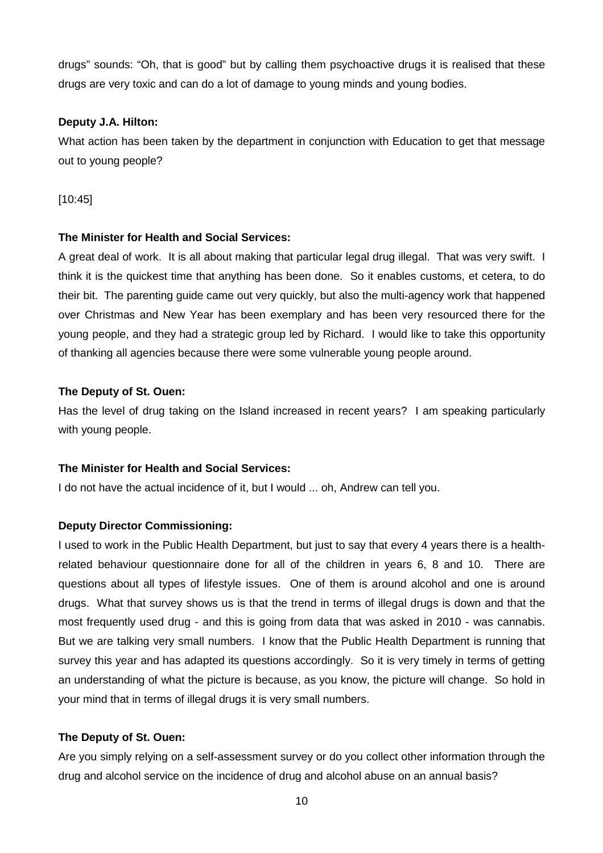drugs" sounds: "Oh, that is good" but by calling them psychoactive drugs it is realised that these drugs are very toxic and can do a lot of damage to young minds and young bodies.

## **Deputy J.A. Hilton:**

What action has been taken by the department in conjunction with Education to get that message out to young people?

[10:45]

## **The Minister for Health and Social Services:**

A great deal of work. It is all about making that particular legal drug illegal. That was very swift. I think it is the quickest time that anything has been done. So it enables customs, et cetera, to do their bit. The parenting guide came out very quickly, but also the multi-agency work that happened over Christmas and New Year has been exemplary and has been very resourced there for the young people, and they had a strategic group led by Richard. I would like to take this opportunity of thanking all agencies because there were some vulnerable young people around.

#### **The Deputy of St. Ouen:**

Has the level of drug taking on the Island increased in recent years? I am speaking particularly with young people.

## **The Minister for Health and Social Services:**

I do not have the actual incidence of it, but I would ... oh, Andrew can tell you.

## **Deputy Director Commissioning:**

I used to work in the Public Health Department, but just to say that every 4 years there is a healthrelated behaviour questionnaire done for all of the children in years 6, 8 and 10. There are questions about all types of lifestyle issues. One of them is around alcohol and one is around drugs. What that survey shows us is that the trend in terms of illegal drugs is down and that the most frequently used drug - and this is going from data that was asked in 2010 - was cannabis. But we are talking very small numbers. I know that the Public Health Department is running that survey this year and has adapted its questions accordingly. So it is very timely in terms of getting an understanding of what the picture is because, as you know, the picture will change. So hold in your mind that in terms of illegal drugs it is very small numbers.

#### **The Deputy of St. Ouen:**

Are you simply relying on a self-assessment survey or do you collect other information through the drug and alcohol service on the incidence of drug and alcohol abuse on an annual basis?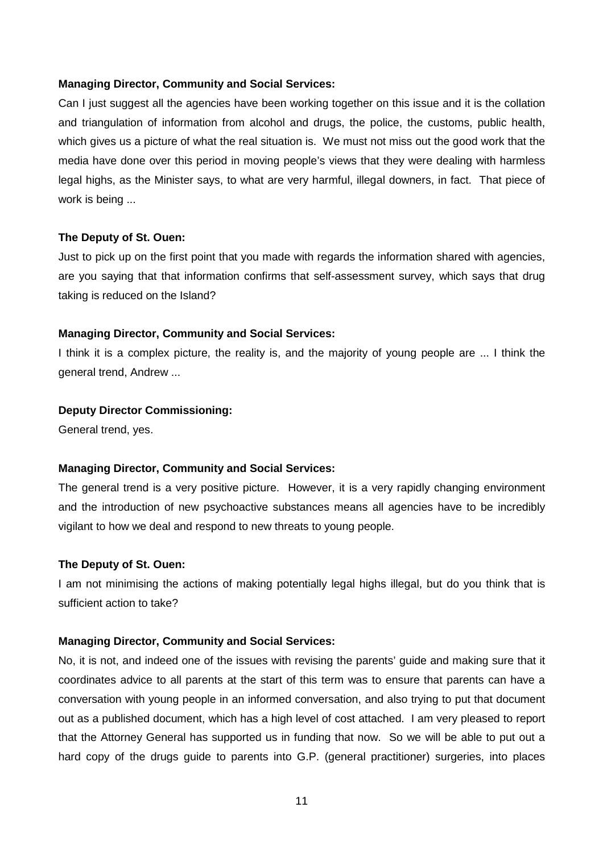#### **Managing Director, Community and Social Services:**

Can I just suggest all the agencies have been working together on this issue and it is the collation and triangulation of information from alcohol and drugs, the police, the customs, public health, which gives us a picture of what the real situation is. We must not miss out the good work that the media have done over this period in moving people's views that they were dealing with harmless legal highs, as the Minister says, to what are very harmful, illegal downers, in fact. That piece of work is being ...

#### **The Deputy of St. Ouen:**

Just to pick up on the first point that you made with regards the information shared with agencies, are you saying that that information confirms that self-assessment survey, which says that drug taking is reduced on the Island?

#### **Managing Director, Community and Social Services:**

I think it is a complex picture, the reality is, and the majority of young people are ... I think the general trend, Andrew ...

#### **Deputy Director Commissioning:**

General trend, yes.

#### **Managing Director, Community and Social Services:**

The general trend is a very positive picture. However, it is a very rapidly changing environment and the introduction of new psychoactive substances means all agencies have to be incredibly vigilant to how we deal and respond to new threats to young people.

#### **The Deputy of St. Ouen:**

I am not minimising the actions of making potentially legal highs illegal, but do you think that is sufficient action to take?

#### **Managing Director, Community and Social Services:**

No, it is not, and indeed one of the issues with revising the parents' guide and making sure that it coordinates advice to all parents at the start of this term was to ensure that parents can have a conversation with young people in an informed conversation, and also trying to put that document out as a published document, which has a high level of cost attached. I am very pleased to report that the Attorney General has supported us in funding that now. So we will be able to put out a hard copy of the drugs guide to parents into G.P. (general practitioner) surgeries, into places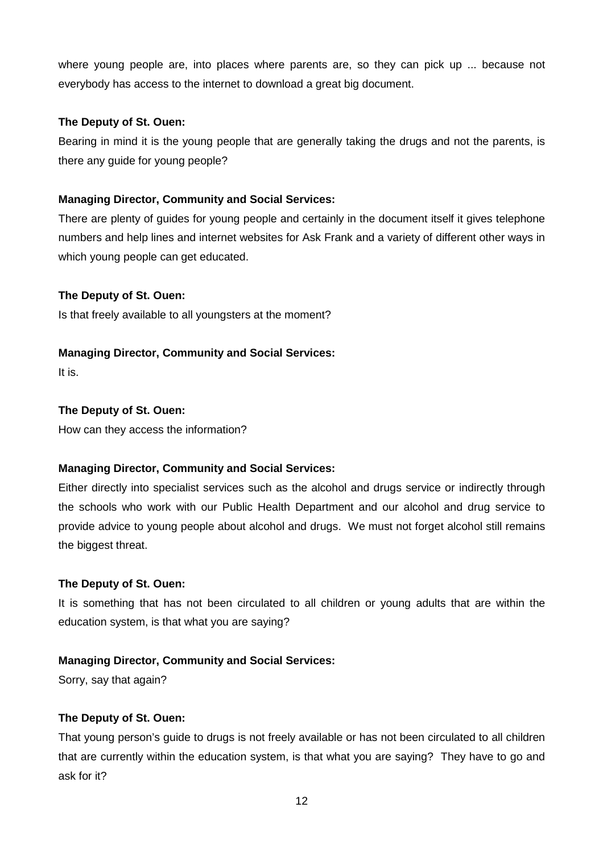where young people are, into places where parents are, so they can pick up ... because not everybody has access to the internet to download a great big document.

## **The Deputy of St. Ouen:**

Bearing in mind it is the young people that are generally taking the drugs and not the parents, is there any guide for young people?

## **Managing Director, Community and Social Services:**

There are plenty of guides for young people and certainly in the document itself it gives telephone numbers and help lines and internet websites for Ask Frank and a variety of different other ways in which young people can get educated.

## **The Deputy of St. Ouen:**

Is that freely available to all youngsters at the moment?

## **Managing Director, Community and Social Services:**

It is.

## **The Deputy of St. Ouen:**

How can they access the information?

## **Managing Director, Community and Social Services:**

Either directly into specialist services such as the alcohol and drugs service or indirectly through the schools who work with our Public Health Department and our alcohol and drug service to provide advice to young people about alcohol and drugs. We must not forget alcohol still remains the biggest threat.

## **The Deputy of St. Ouen:**

It is something that has not been circulated to all children or young adults that are within the education system, is that what you are saying?

## **Managing Director, Community and Social Services:**

Sorry, say that again?

## **The Deputy of St. Ouen:**

That young person's guide to drugs is not freely available or has not been circulated to all children that are currently within the education system, is that what you are saying? They have to go and ask for it?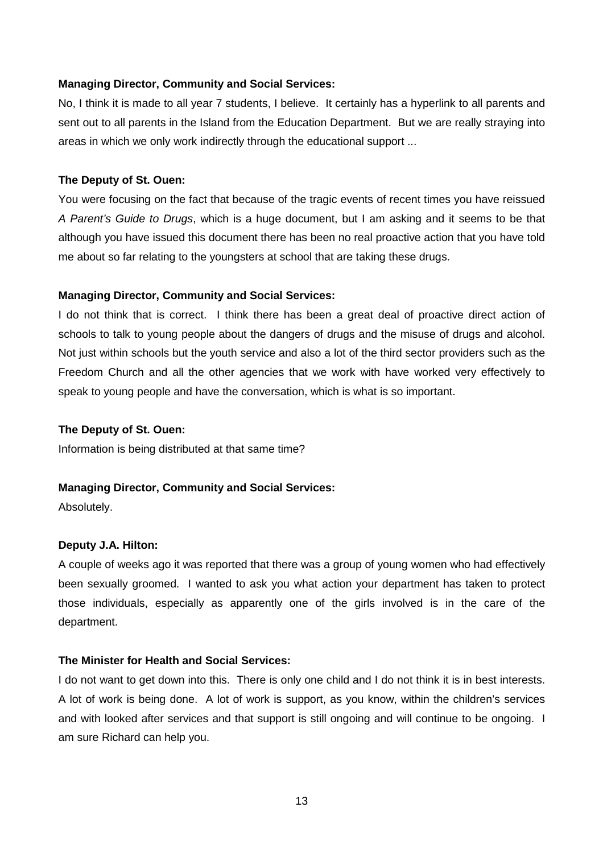#### **Managing Director, Community and Social Services:**

No, I think it is made to all year 7 students, I believe. It certainly has a hyperlink to all parents and sent out to all parents in the Island from the Education Department. But we are really straying into areas in which we only work indirectly through the educational support ...

#### **The Deputy of St. Ouen:**

You were focusing on the fact that because of the tragic events of recent times you have reissued A Parent's Guide to Drugs, which is a huge document, but I am asking and it seems to be that although you have issued this document there has been no real proactive action that you have told me about so far relating to the youngsters at school that are taking these drugs.

#### **Managing Director, Community and Social Services:**

I do not think that is correct. I think there has been a great deal of proactive direct action of schools to talk to young people about the dangers of drugs and the misuse of drugs and alcohol. Not just within schools but the youth service and also a lot of the third sector providers such as the Freedom Church and all the other agencies that we work with have worked very effectively to speak to young people and have the conversation, which is what is so important.

#### **The Deputy of St. Ouen:**

Information is being distributed at that same time?

#### **Managing Director, Community and Social Services:**

Absolutely.

#### **Deputy J.A. Hilton:**

A couple of weeks ago it was reported that there was a group of young women who had effectively been sexually groomed. I wanted to ask you what action your department has taken to protect those individuals, especially as apparently one of the girls involved is in the care of the department.

#### **The Minister for Health and Social Services:**

I do not want to get down into this. There is only one child and I do not think it is in best interests. A lot of work is being done. A lot of work is support, as you know, within the children's services and with looked after services and that support is still ongoing and will continue to be ongoing. I am sure Richard can help you.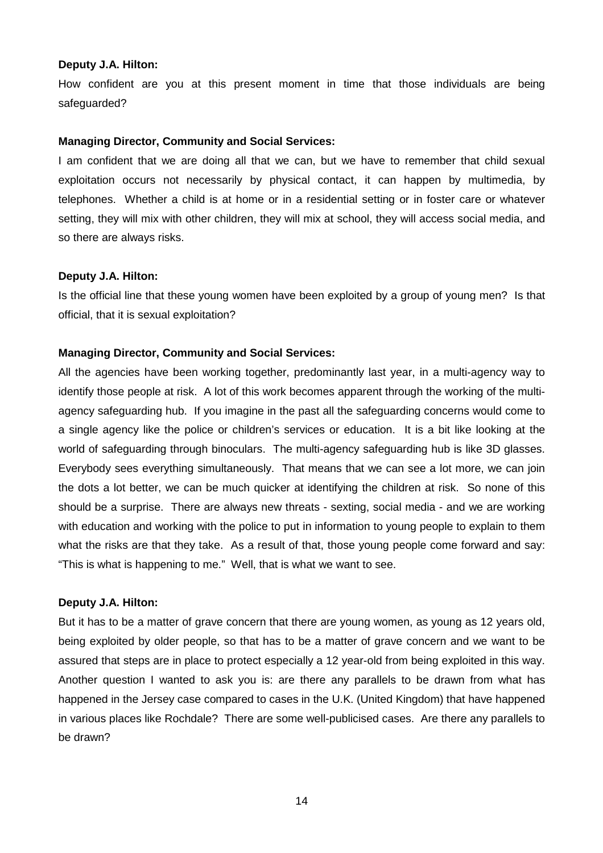#### **Deputy J.A. Hilton:**

How confident are you at this present moment in time that those individuals are being safeguarded?

#### **Managing Director, Community and Social Services:**

I am confident that we are doing all that we can, but we have to remember that child sexual exploitation occurs not necessarily by physical contact, it can happen by multimedia, by telephones. Whether a child is at home or in a residential setting or in foster care or whatever setting, they will mix with other children, they will mix at school, they will access social media, and so there are always risks.

#### **Deputy J.A. Hilton:**

Is the official line that these young women have been exploited by a group of young men? Is that official, that it is sexual exploitation?

#### **Managing Director, Community and Social Services:**

All the agencies have been working together, predominantly last year, in a multi-agency way to identify those people at risk. A lot of this work becomes apparent through the working of the multiagency safeguarding hub. If you imagine in the past all the safeguarding concerns would come to a single agency like the police or children's services or education. It is a bit like looking at the world of safeguarding through binoculars. The multi-agency safeguarding hub is like 3D glasses. Everybody sees everything simultaneously. That means that we can see a lot more, we can join the dots a lot better, we can be much quicker at identifying the children at risk. So none of this should be a surprise. There are always new threats - sexting, social media - and we are working with education and working with the police to put in information to young people to explain to them what the risks are that they take. As a result of that, those young people come forward and say: "This is what is happening to me." Well, that is what we want to see.

#### **Deputy J.A. Hilton:**

But it has to be a matter of grave concern that there are young women, as young as 12 years old, being exploited by older people, so that has to be a matter of grave concern and we want to be assured that steps are in place to protect especially a 12 year-old from being exploited in this way. Another question I wanted to ask you is: are there any parallels to be drawn from what has happened in the Jersey case compared to cases in the U.K. (United Kingdom) that have happened in various places like Rochdale? There are some well-publicised cases. Are there any parallels to be drawn?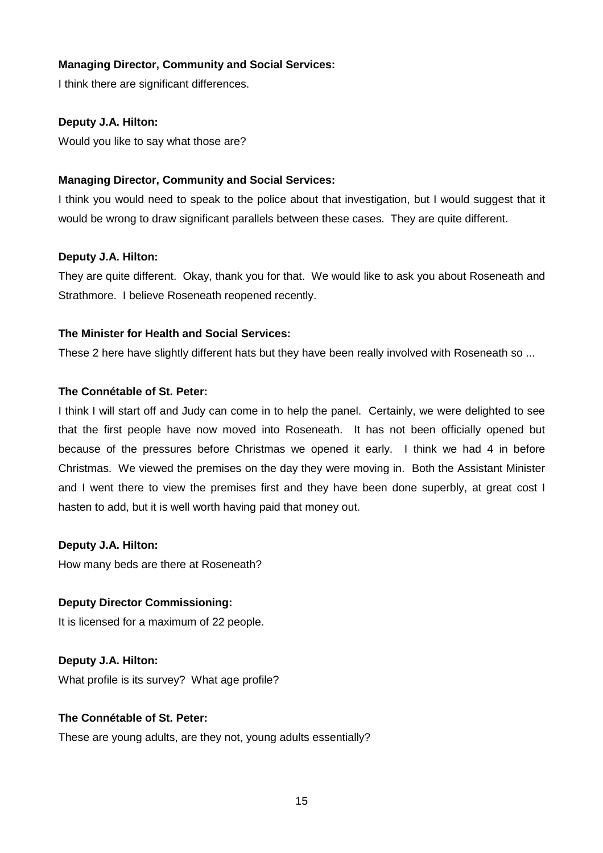## **Managing Director, Community and Social Services:**

I think there are significant differences.

## **Deputy J.A. Hilton:**

Would you like to say what those are?

## **Managing Director, Community and Social Services:**

I think you would need to speak to the police about that investigation, but I would suggest that it would be wrong to draw significant parallels between these cases. They are quite different.

## **Deputy J.A. Hilton:**

They are quite different. Okay, thank you for that. We would like to ask you about Roseneath and Strathmore. I believe Roseneath reopened recently.

## **The Minister for Health and Social Services:**

These 2 here have slightly different hats but they have been really involved with Roseneath so ...

## **The Connétable of St. Peter:**

I think I will start off and Judy can come in to help the panel. Certainly, we were delighted to see that the first people have now moved into Roseneath. It has not been officially opened but because of the pressures before Christmas we opened it early. I think we had 4 in before Christmas. We viewed the premises on the day they were moving in. Both the Assistant Minister and I went there to view the premises first and they have been done superbly, at great cost I hasten to add, but it is well worth having paid that money out.

## **Deputy J.A. Hilton:**

How many beds are there at Roseneath?

## **Deputy Director Commissioning:**

It is licensed for a maximum of 22 people.

## **Deputy J.A. Hilton:**

What profile is its survey? What age profile?

## **The Connétable of St. Peter:**

These are young adults, are they not, young adults essentially?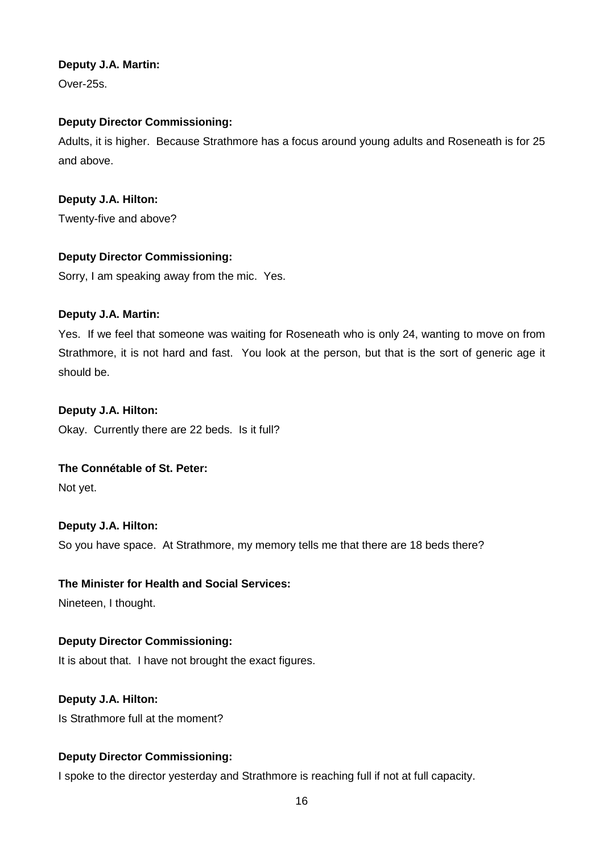## **Deputy J.A. Martin:**

Over-25s.

## **Deputy Director Commissioning:**

Adults, it is higher. Because Strathmore has a focus around young adults and Roseneath is for 25 and above.

## **Deputy J.A. Hilton:**

Twenty-five and above?

## **Deputy Director Commissioning:**

Sorry, I am speaking away from the mic. Yes.

## **Deputy J.A. Martin:**

Yes. If we feel that someone was waiting for Roseneath who is only 24, wanting to move on from Strathmore, it is not hard and fast. You look at the person, but that is the sort of generic age it should be.

## **Deputy J.A. Hilton:**

Okay. Currently there are 22 beds. Is it full?

## **The Connétable of St. Peter:**

Not yet.

## **Deputy J.A. Hilton:**

So you have space. At Strathmore, my memory tells me that there are 18 beds there?

## **The Minister for Health and Social Services:**

Nineteen, I thought.

## **Deputy Director Commissioning:**

It is about that. I have not brought the exact figures.

## **Deputy J.A. Hilton:**

Is Strathmore full at the moment?

## **Deputy Director Commissioning:**

I spoke to the director yesterday and Strathmore is reaching full if not at full capacity.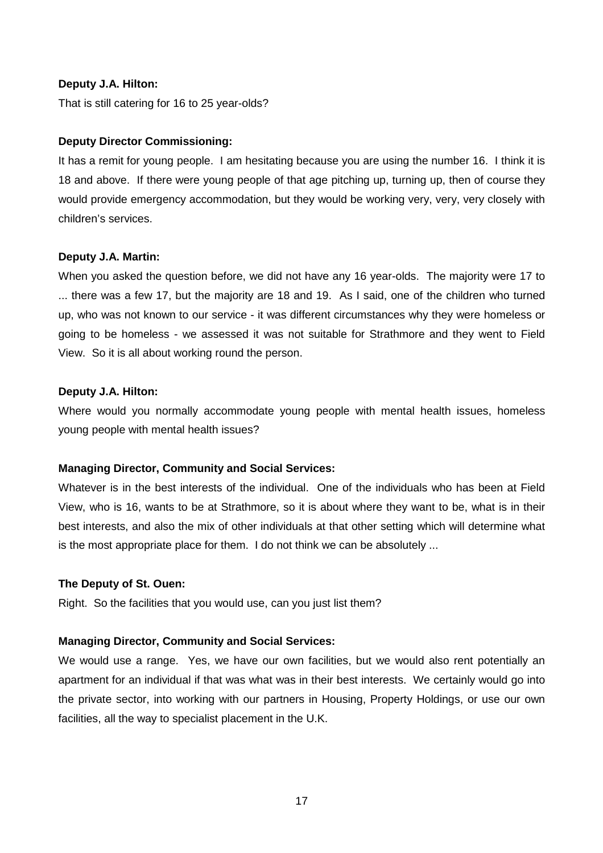#### **Deputy J.A. Hilton:**

That is still catering for 16 to 25 year-olds?

#### **Deputy Director Commissioning:**

It has a remit for young people. I am hesitating because you are using the number 16. I think it is 18 and above. If there were young people of that age pitching up, turning up, then of course they would provide emergency accommodation, but they would be working very, very, very closely with children's services.

#### **Deputy J.A. Martin:**

When you asked the question before, we did not have any 16 year-olds. The majority were 17 to ... there was a few 17, but the majority are 18 and 19. As I said, one of the children who turned up, who was not known to our service - it was different circumstances why they were homeless or going to be homeless - we assessed it was not suitable for Strathmore and they went to Field View. So it is all about working round the person.

#### **Deputy J.A. Hilton:**

Where would you normally accommodate young people with mental health issues, homeless young people with mental health issues?

## **Managing Director, Community and Social Services:**

Whatever is in the best interests of the individual. One of the individuals who has been at Field View, who is 16, wants to be at Strathmore, so it is about where they want to be, what is in their best interests, and also the mix of other individuals at that other setting which will determine what is the most appropriate place for them. I do not think we can be absolutely ...

#### **The Deputy of St. Ouen:**

Right. So the facilities that you would use, can you just list them?

## **Managing Director, Community and Social Services:**

We would use a range. Yes, we have our own facilities, but we would also rent potentially an apartment for an individual if that was what was in their best interests. We certainly would go into the private sector, into working with our partners in Housing, Property Holdings, or use our own facilities, all the way to specialist placement in the U.K.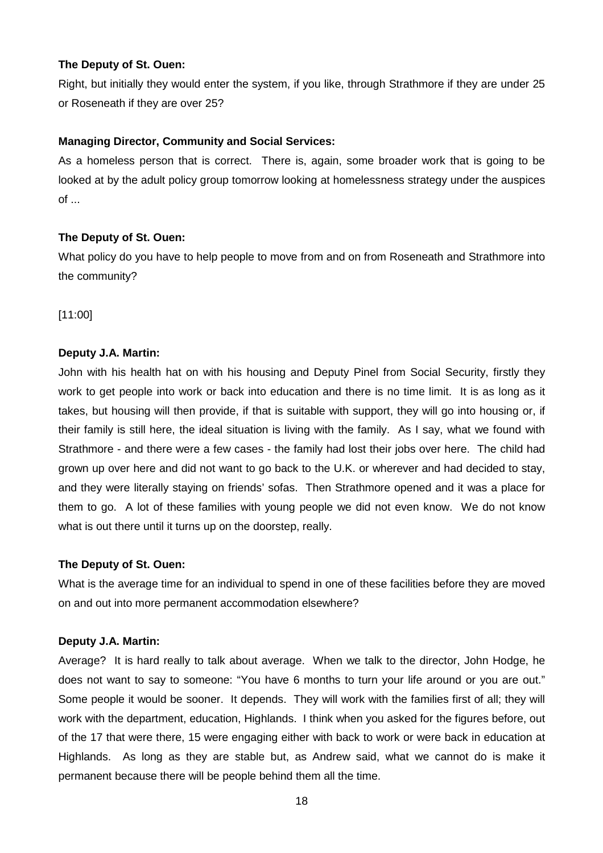Right, but initially they would enter the system, if you like, through Strathmore if they are under 25 or Roseneath if they are over 25?

## **Managing Director, Community and Social Services:**

As a homeless person that is correct. There is, again, some broader work that is going to be looked at by the adult policy group tomorrow looking at homelessness strategy under the auspices of ...

## **The Deputy of St. Ouen:**

What policy do you have to help people to move from and on from Roseneath and Strathmore into the community?

[11:00]

## **Deputy J.A. Martin:**

John with his health hat on with his housing and Deputy Pinel from Social Security, firstly they work to get people into work or back into education and there is no time limit. It is as long as it takes, but housing will then provide, if that is suitable with support, they will go into housing or, if their family is still here, the ideal situation is living with the family. As I say, what we found with Strathmore - and there were a few cases - the family had lost their jobs over here. The child had grown up over here and did not want to go back to the U.K. or wherever and had decided to stay, and they were literally staying on friends' sofas. Then Strathmore opened and it was a place for them to go. A lot of these families with young people we did not even know. We do not know what is out there until it turns up on the doorstep, really.

## **The Deputy of St. Ouen:**

What is the average time for an individual to spend in one of these facilities before they are moved on and out into more permanent accommodation elsewhere?

## **Deputy J.A. Martin:**

Average? It is hard really to talk about average. When we talk to the director, John Hodge, he does not want to say to someone: "You have 6 months to turn your life around or you are out." Some people it would be sooner. It depends. They will work with the families first of all; they will work with the department, education, Highlands. I think when you asked for the figures before, out of the 17 that were there, 15 were engaging either with back to work or were back in education at Highlands. As long as they are stable but, as Andrew said, what we cannot do is make it permanent because there will be people behind them all the time.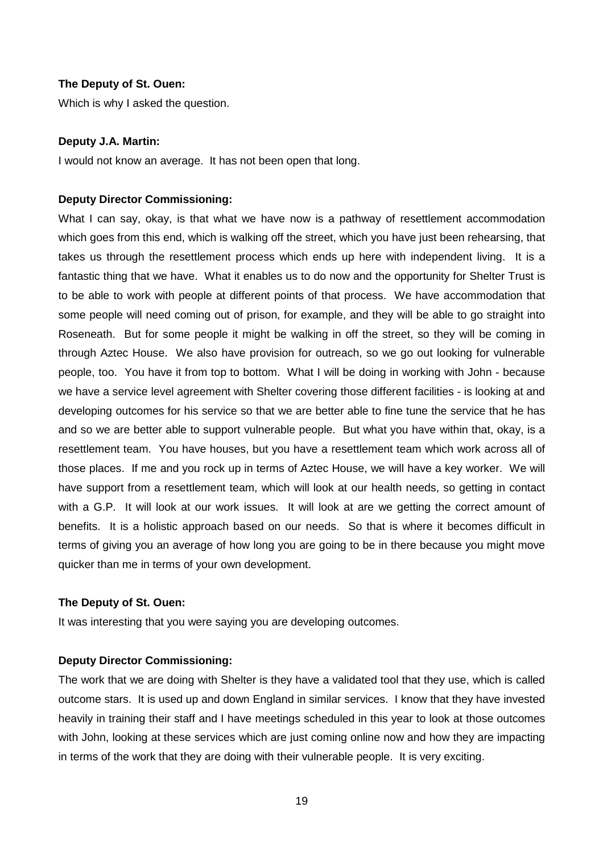Which is why I asked the question.

#### **Deputy J.A. Martin:**

I would not know an average. It has not been open that long.

#### **Deputy Director Commissioning:**

What I can say, okay, is that what we have now is a pathway of resettlement accommodation which goes from this end, which is walking off the street, which you have just been rehearsing, that takes us through the resettlement process which ends up here with independent living. It is a fantastic thing that we have. What it enables us to do now and the opportunity for Shelter Trust is to be able to work with people at different points of that process. We have accommodation that some people will need coming out of prison, for example, and they will be able to go straight into Roseneath. But for some people it might be walking in off the street, so they will be coming in through Aztec House. We also have provision for outreach, so we go out looking for vulnerable people, too. You have it from top to bottom. What I will be doing in working with John - because we have a service level agreement with Shelter covering those different facilities - is looking at and developing outcomes for his service so that we are better able to fine tune the service that he has and so we are better able to support vulnerable people. But what you have within that, okay, is a resettlement team. You have houses, but you have a resettlement team which work across all of those places. If me and you rock up in terms of Aztec House, we will have a key worker. We will have support from a resettlement team, which will look at our health needs, so getting in contact with a G.P. It will look at our work issues. It will look at are we getting the correct amount of benefits. It is a holistic approach based on our needs. So that is where it becomes difficult in terms of giving you an average of how long you are going to be in there because you might move quicker than me in terms of your own development.

#### **The Deputy of St. Ouen:**

It was interesting that you were saying you are developing outcomes.

#### **Deputy Director Commissioning:**

The work that we are doing with Shelter is they have a validated tool that they use, which is called outcome stars. It is used up and down England in similar services. I know that they have invested heavily in training their staff and I have meetings scheduled in this year to look at those outcomes with John, looking at these services which are just coming online now and how they are impacting in terms of the work that they are doing with their vulnerable people. It is very exciting.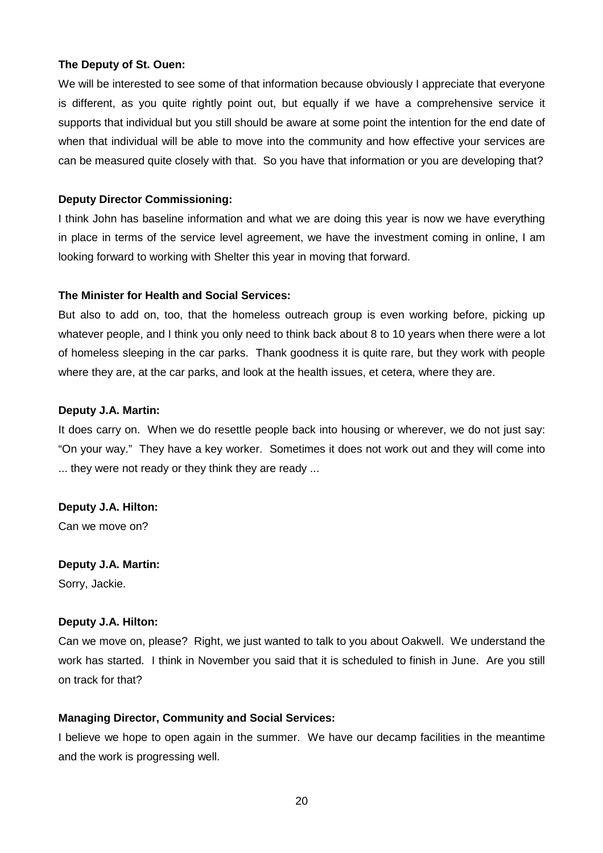We will be interested to see some of that information because obviously I appreciate that everyone is different, as you quite rightly point out, but equally if we have a comprehensive service it supports that individual but you still should be aware at some point the intention for the end date of when that individual will be able to move into the community and how effective your services are can be measured quite closely with that. So you have that information or you are developing that?

## **Deputy Director Commissioning:**

I think John has baseline information and what we are doing this year is now we have everything in place in terms of the service level agreement, we have the investment coming in online, I am looking forward to working with Shelter this year in moving that forward.

## **The Minister for Health and Social Services:**

But also to add on, too, that the homeless outreach group is even working before, picking up whatever people, and I think you only need to think back about 8 to 10 years when there were a lot of homeless sleeping in the car parks. Thank goodness it is quite rare, but they work with people where they are, at the car parks, and look at the health issues, et cetera, where they are.

## **Deputy J.A. Martin:**

It does carry on. When we do resettle people back into housing or wherever, we do not just say: "On your way." They have a key worker. Sometimes it does not work out and they will come into ... they were not ready or they think they are ready ...

## **Deputy J.A. Hilton:**

Can we move on?

## **Deputy J.A. Martin:**

Sorry, Jackie.

## **Deputy J.A. Hilton:**

Can we move on, please? Right, we just wanted to talk to you about Oakwell. We understand the work has started. I think in November you said that it is scheduled to finish in June. Are you still on track for that?

## **Managing Director, Community and Social Services:**

I believe we hope to open again in the summer. We have our decamp facilities in the meantime and the work is progressing well.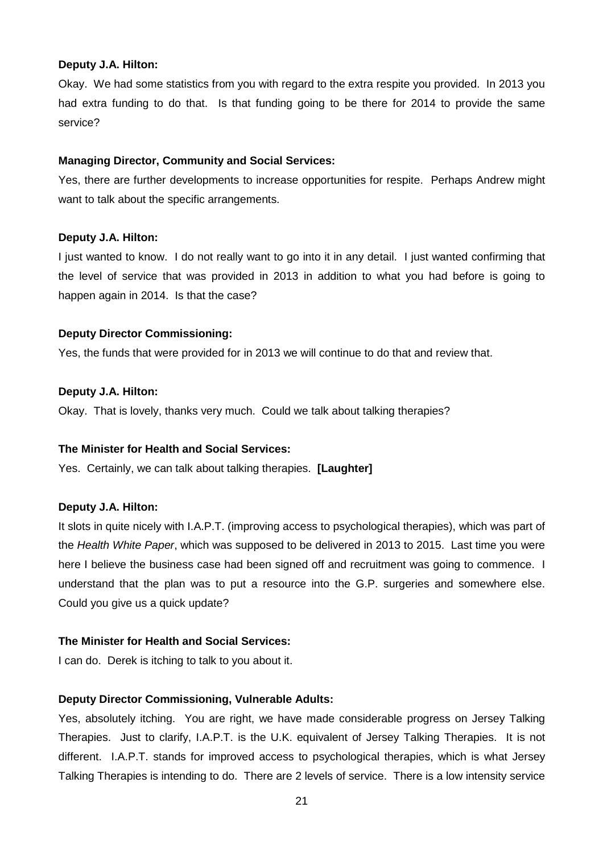#### **Deputy J.A. Hilton:**

Okay. We had some statistics from you with regard to the extra respite you provided. In 2013 you had extra funding to do that. Is that funding going to be there for 2014 to provide the same service?

#### **Managing Director, Community and Social Services:**

Yes, there are further developments to increase opportunities for respite. Perhaps Andrew might want to talk about the specific arrangements.

#### **Deputy J.A. Hilton:**

I just wanted to know. I do not really want to go into it in any detail. I just wanted confirming that the level of service that was provided in 2013 in addition to what you had before is going to happen again in 2014. Is that the case?

#### **Deputy Director Commissioning:**

Yes, the funds that were provided for in 2013 we will continue to do that and review that.

#### **Deputy J.A. Hilton:**

Okay. That is lovely, thanks very much. Could we talk about talking therapies?

#### **The Minister for Health and Social Services:**

Yes. Certainly, we can talk about talking therapies. **[Laughter]**

#### **Deputy J.A. Hilton:**

It slots in quite nicely with I.A.P.T. (improving access to psychological therapies), which was part of the Health White Paper, which was supposed to be delivered in 2013 to 2015. Last time you were here I believe the business case had been signed off and recruitment was going to commence. I understand that the plan was to put a resource into the G.P. surgeries and somewhere else. Could you give us a quick update?

#### **The Minister for Health and Social Services:**

I can do. Derek is itching to talk to you about it.

#### **Deputy Director Commissioning, Vulnerable Adults:**

Yes, absolutely itching. You are right, we have made considerable progress on Jersey Talking Therapies. Just to clarify, I.A.P.T. is the U.K. equivalent of Jersey Talking Therapies. It is not different. I.A.P.T. stands for improved access to psychological therapies, which is what Jersey Talking Therapies is intending to do. There are 2 levels of service. There is a low intensity service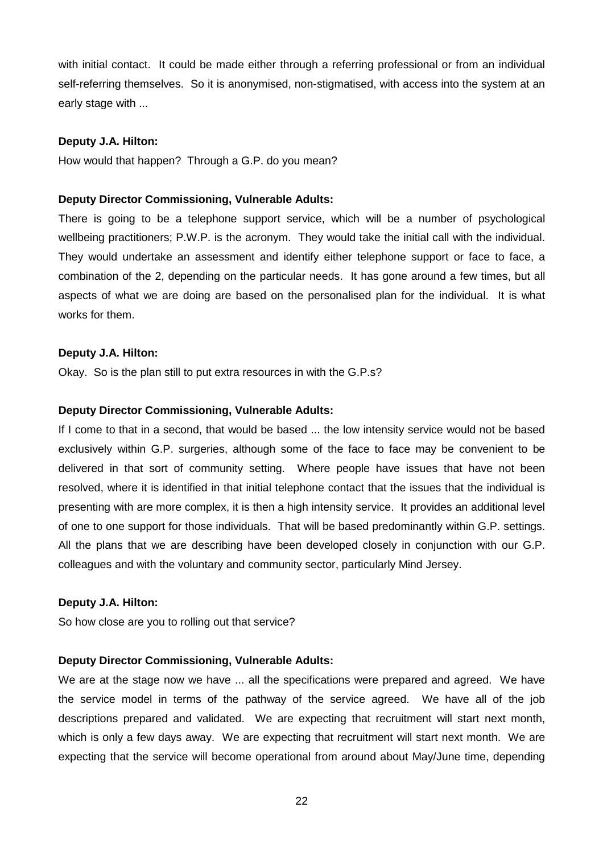with initial contact. It could be made either through a referring professional or from an individual self-referring themselves. So it is anonymised, non-stigmatised, with access into the system at an early stage with ...

#### **Deputy J.A. Hilton:**

How would that happen? Through a G.P. do you mean?

#### **Deputy Director Commissioning, Vulnerable Adults:**

There is going to be a telephone support service, which will be a number of psychological wellbeing practitioners; P.W.P. is the acronym. They would take the initial call with the individual. They would undertake an assessment and identify either telephone support or face to face, a combination of the 2, depending on the particular needs. It has gone around a few times, but all aspects of what we are doing are based on the personalised plan for the individual. It is what works for them.

#### **Deputy J.A. Hilton:**

Okay. So is the plan still to put extra resources in with the G.P.s?

#### **Deputy Director Commissioning, Vulnerable Adults:**

If I come to that in a second, that would be based ... the low intensity service would not be based exclusively within G.P. surgeries, although some of the face to face may be convenient to be delivered in that sort of community setting. Where people have issues that have not been resolved, where it is identified in that initial telephone contact that the issues that the individual is presenting with are more complex, it is then a high intensity service. It provides an additional level of one to one support for those individuals. That will be based predominantly within G.P. settings. All the plans that we are describing have been developed closely in conjunction with our G.P. colleagues and with the voluntary and community sector, particularly Mind Jersey.

#### **Deputy J.A. Hilton:**

So how close are you to rolling out that service?

#### **Deputy Director Commissioning, Vulnerable Adults:**

We are at the stage now we have ... all the specifications were prepared and agreed. We have the service model in terms of the pathway of the service agreed. We have all of the job descriptions prepared and validated. We are expecting that recruitment will start next month, which is only a few days away. We are expecting that recruitment will start next month. We are expecting that the service will become operational from around about May/June time, depending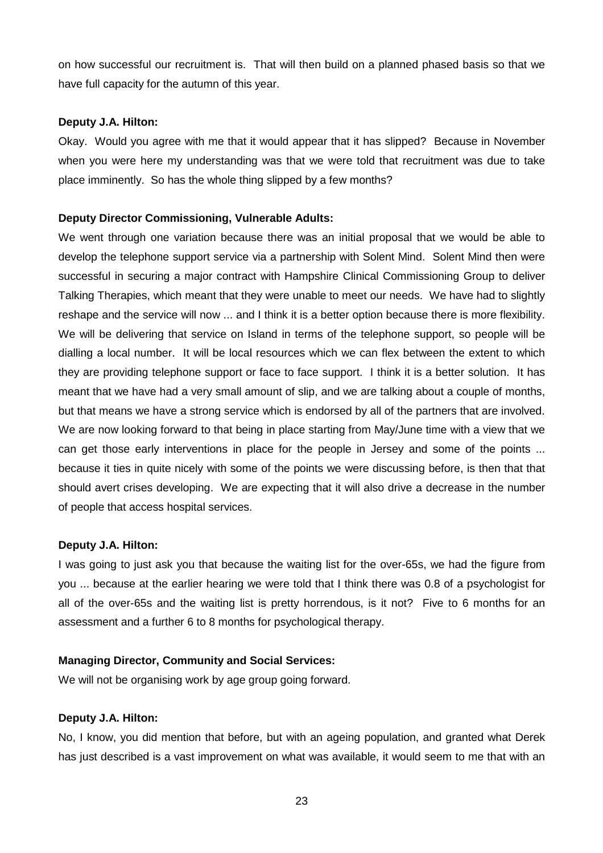on how successful our recruitment is. That will then build on a planned phased basis so that we have full capacity for the autumn of this year.

#### **Deputy J.A. Hilton:**

Okay. Would you agree with me that it would appear that it has slipped? Because in November when you were here my understanding was that we were told that recruitment was due to take place imminently. So has the whole thing slipped by a few months?

#### **Deputy Director Commissioning, Vulnerable Adults:**

We went through one variation because there was an initial proposal that we would be able to develop the telephone support service via a partnership with Solent Mind. Solent Mind then were successful in securing a major contract with Hampshire Clinical Commissioning Group to deliver Talking Therapies, which meant that they were unable to meet our needs. We have had to slightly reshape and the service will now ... and I think it is a better option because there is more flexibility. We will be delivering that service on Island in terms of the telephone support, so people will be dialling a local number. It will be local resources which we can flex between the extent to which they are providing telephone support or face to face support. I think it is a better solution. It has meant that we have had a very small amount of slip, and we are talking about a couple of months, but that means we have a strong service which is endorsed by all of the partners that are involved. We are now looking forward to that being in place starting from May/June time with a view that we can get those early interventions in place for the people in Jersey and some of the points ... because it ties in quite nicely with some of the points we were discussing before, is then that that should avert crises developing. We are expecting that it will also drive a decrease in the number of people that access hospital services.

## **Deputy J.A. Hilton:**

I was going to just ask you that because the waiting list for the over-65s, we had the figure from you ... because at the earlier hearing we were told that I think there was 0.8 of a psychologist for all of the over-65s and the waiting list is pretty horrendous, is it not? Five to 6 months for an assessment and a further 6 to 8 months for psychological therapy.

## **Managing Director, Community and Social Services:**

We will not be organising work by age group going forward.

#### **Deputy J.A. Hilton:**

No, I know, you did mention that before, but with an ageing population, and granted what Derek has just described is a vast improvement on what was available, it would seem to me that with an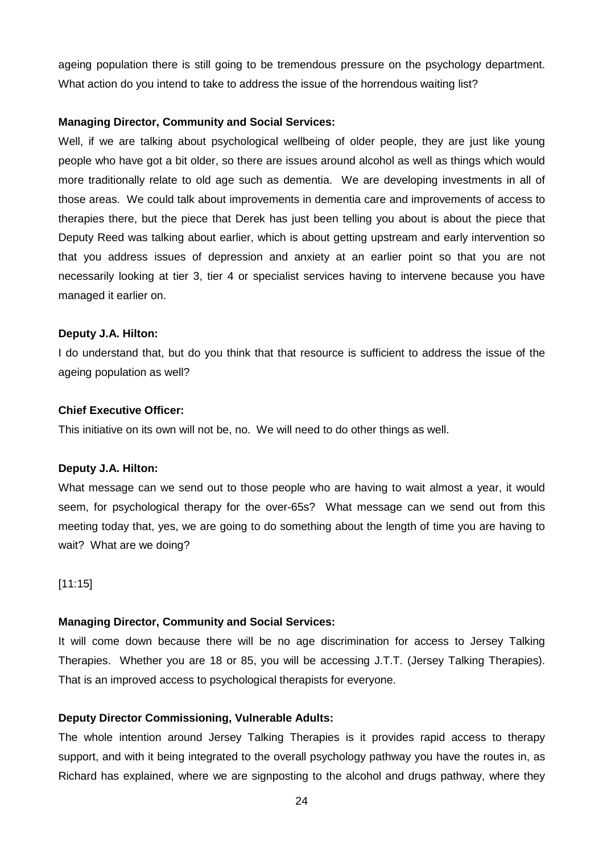ageing population there is still going to be tremendous pressure on the psychology department. What action do you intend to take to address the issue of the horrendous waiting list?

#### **Managing Director, Community and Social Services:**

Well, if we are talking about psychological wellbeing of older people, they are just like young people who have got a bit older, so there are issues around alcohol as well as things which would more traditionally relate to old age such as dementia. We are developing investments in all of those areas. We could talk about improvements in dementia care and improvements of access to therapies there, but the piece that Derek has just been telling you about is about the piece that Deputy Reed was talking about earlier, which is about getting upstream and early intervention so that you address issues of depression and anxiety at an earlier point so that you are not necessarily looking at tier 3, tier 4 or specialist services having to intervene because you have managed it earlier on.

#### **Deputy J.A. Hilton:**

I do understand that, but do you think that that resource is sufficient to address the issue of the ageing population as well?

#### **Chief Executive Officer:**

This initiative on its own will not be, no. We will need to do other things as well.

#### **Deputy J.A. Hilton:**

What message can we send out to those people who are having to wait almost a year, it would seem, for psychological therapy for the over-65s? What message can we send out from this meeting today that, yes, we are going to do something about the length of time you are having to wait? What are we doing?

#### [11:15]

#### **Managing Director, Community and Social Services:**

It will come down because there will be no age discrimination for access to Jersey Talking Therapies. Whether you are 18 or 85, you will be accessing J.T.T. (Jersey Talking Therapies). That is an improved access to psychological therapists for everyone.

#### **Deputy Director Commissioning, Vulnerable Adults:**

The whole intention around Jersey Talking Therapies is it provides rapid access to therapy support, and with it being integrated to the overall psychology pathway you have the routes in, as Richard has explained, where we are signposting to the alcohol and drugs pathway, where they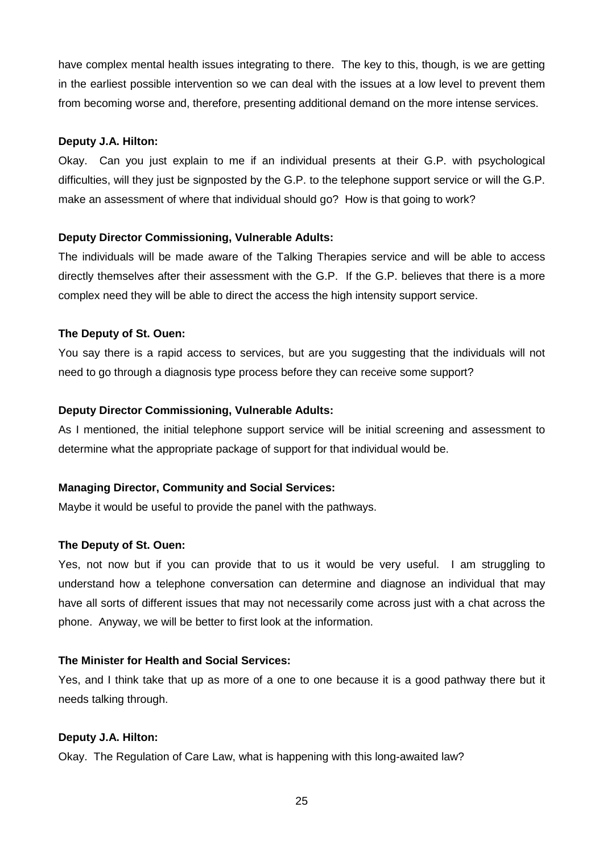have complex mental health issues integrating to there. The key to this, though, is we are getting in the earliest possible intervention so we can deal with the issues at a low level to prevent them from becoming worse and, therefore, presenting additional demand on the more intense services.

## **Deputy J.A. Hilton:**

Okay. Can you just explain to me if an individual presents at their G.P. with psychological difficulties, will they just be signposted by the G.P. to the telephone support service or will the G.P. make an assessment of where that individual should go? How is that going to work?

## **Deputy Director Commissioning, Vulnerable Adults:**

The individuals will be made aware of the Talking Therapies service and will be able to access directly themselves after their assessment with the G.P. If the G.P. believes that there is a more complex need they will be able to direct the access the high intensity support service.

## **The Deputy of St. Ouen:**

You say there is a rapid access to services, but are you suggesting that the individuals will not need to go through a diagnosis type process before they can receive some support?

## **Deputy Director Commissioning, Vulnerable Adults:**

As I mentioned, the initial telephone support service will be initial screening and assessment to determine what the appropriate package of support for that individual would be.

## **Managing Director, Community and Social Services:**

Maybe it would be useful to provide the panel with the pathways.

## **The Deputy of St. Ouen:**

Yes, not now but if you can provide that to us it would be very useful. I am struggling to understand how a telephone conversation can determine and diagnose an individual that may have all sorts of different issues that may not necessarily come across just with a chat across the phone. Anyway, we will be better to first look at the information.

## **The Minister for Health and Social Services:**

Yes, and I think take that up as more of a one to one because it is a good pathway there but it needs talking through.

## **Deputy J.A. Hilton:**

Okay. The Regulation of Care Law, what is happening with this long-awaited law?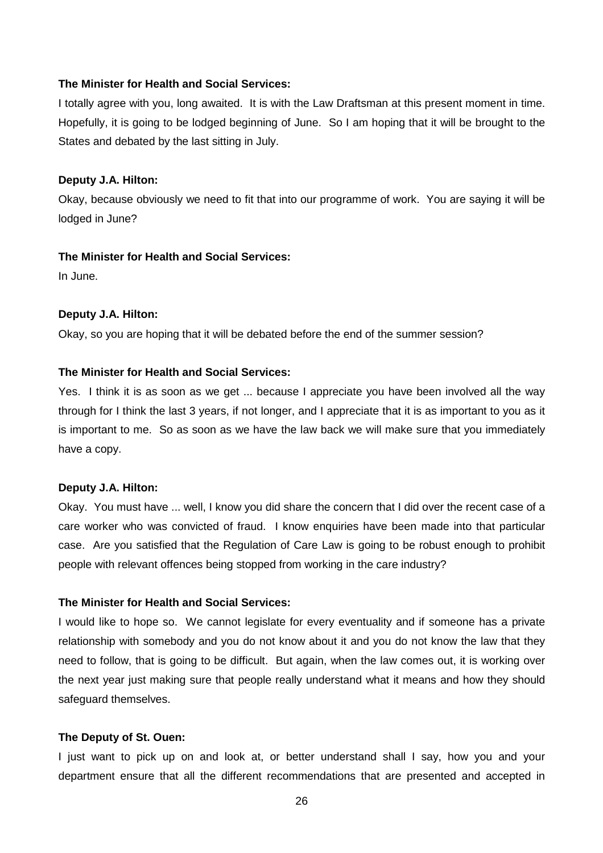#### **The Minister for Health and Social Services:**

I totally agree with you, long awaited. It is with the Law Draftsman at this present moment in time. Hopefully, it is going to be lodged beginning of June. So I am hoping that it will be brought to the States and debated by the last sitting in July.

#### **Deputy J.A. Hilton:**

Okay, because obviously we need to fit that into our programme of work. You are saying it will be lodged in June?

#### **The Minister for Health and Social Services:**

In June.

#### **Deputy J.A. Hilton:**

Okay, so you are hoping that it will be debated before the end of the summer session?

#### **The Minister for Health and Social Services:**

Yes. I think it is as soon as we get ... because I appreciate you have been involved all the way through for I think the last 3 years, if not longer, and I appreciate that it is as important to you as it is important to me. So as soon as we have the law back we will make sure that you immediately have a copy.

#### **Deputy J.A. Hilton:**

Okay. You must have ... well, I know you did share the concern that I did over the recent case of a care worker who was convicted of fraud. I know enquiries have been made into that particular case. Are you satisfied that the Regulation of Care Law is going to be robust enough to prohibit people with relevant offences being stopped from working in the care industry?

#### **The Minister for Health and Social Services:**

I would like to hope so. We cannot legislate for every eventuality and if someone has a private relationship with somebody and you do not know about it and you do not know the law that they need to follow, that is going to be difficult. But again, when the law comes out, it is working over the next year just making sure that people really understand what it means and how they should safeguard themselves.

#### **The Deputy of St. Ouen:**

I just want to pick up on and look at, or better understand shall I say, how you and your department ensure that all the different recommendations that are presented and accepted in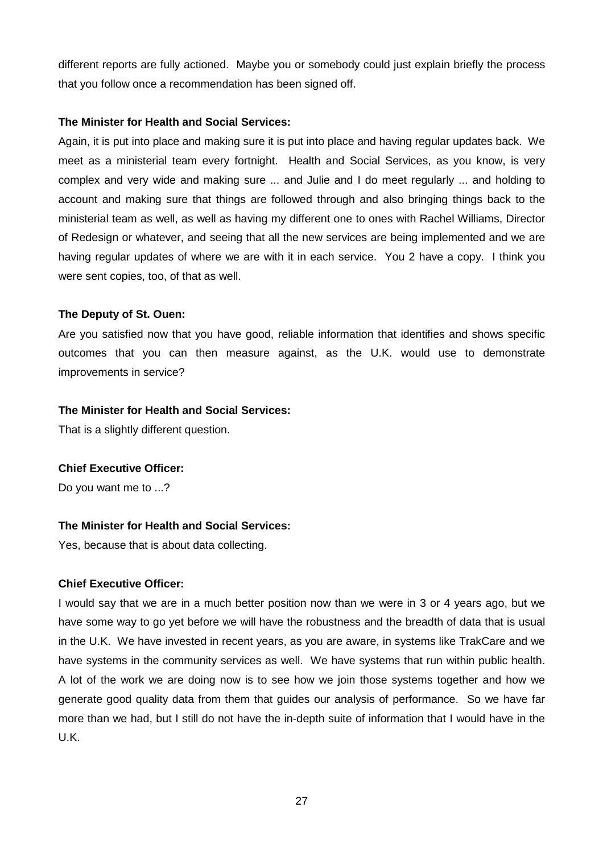different reports are fully actioned. Maybe you or somebody could just explain briefly the process that you follow once a recommendation has been signed off.

## **The Minister for Health and Social Services:**

Again, it is put into place and making sure it is put into place and having regular updates back. We meet as a ministerial team every fortnight. Health and Social Services, as you know, is very complex and very wide and making sure ... and Julie and I do meet regularly ... and holding to account and making sure that things are followed through and also bringing things back to the ministerial team as well, as well as having my different one to ones with Rachel Williams, Director of Redesign or whatever, and seeing that all the new services are being implemented and we are having regular updates of where we are with it in each service. You 2 have a copy. I think you were sent copies, too, of that as well.

## **The Deputy of St. Ouen:**

Are you satisfied now that you have good, reliable information that identifies and shows specific outcomes that you can then measure against, as the U.K. would use to demonstrate improvements in service?

## **The Minister for Health and Social Services:**

That is a slightly different question.

## **Chief Executive Officer:**

Do you want me to ...?

## **The Minister for Health and Social Services:**

Yes, because that is about data collecting.

## **Chief Executive Officer:**

I would say that we are in a much better position now than we were in 3 or 4 years ago, but we have some way to go yet before we will have the robustness and the breadth of data that is usual in the U.K. We have invested in recent years, as you are aware, in systems like TrakCare and we have systems in the community services as well. We have systems that run within public health. A lot of the work we are doing now is to see how we join those systems together and how we generate good quality data from them that guides our analysis of performance. So we have far more than we had, but I still do not have the in-depth suite of information that I would have in the U.K.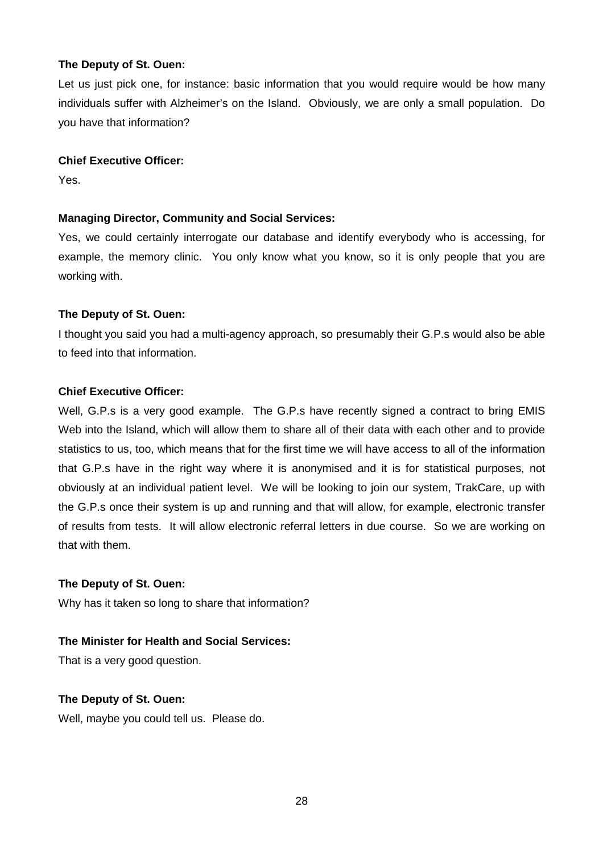Let us just pick one, for instance: basic information that you would require would be how many individuals suffer with Alzheimer's on the Island. Obviously, we are only a small population. Do you have that information?

#### **Chief Executive Officer:**

Yes.

## **Managing Director, Community and Social Services:**

Yes, we could certainly interrogate our database and identify everybody who is accessing, for example, the memory clinic. You only know what you know, so it is only people that you are working with.

## **The Deputy of St. Ouen:**

I thought you said you had a multi-agency approach, so presumably their G.P.s would also be able to feed into that information.

## **Chief Executive Officer:**

Well, G.P.s is a very good example. The G.P.s have recently signed a contract to bring EMIS Web into the Island, which will allow them to share all of their data with each other and to provide statistics to us, too, which means that for the first time we will have access to all of the information that G.P.s have in the right way where it is anonymised and it is for statistical purposes, not obviously at an individual patient level. We will be looking to join our system, TrakCare, up with the G.P.s once their system is up and running and that will allow, for example, electronic transfer of results from tests. It will allow electronic referral letters in due course. So we are working on that with them.

## **The Deputy of St. Ouen:**

Why has it taken so long to share that information?

## **The Minister for Health and Social Services:**

That is a very good question.

## **The Deputy of St. Ouen:**

Well, maybe you could tell us. Please do.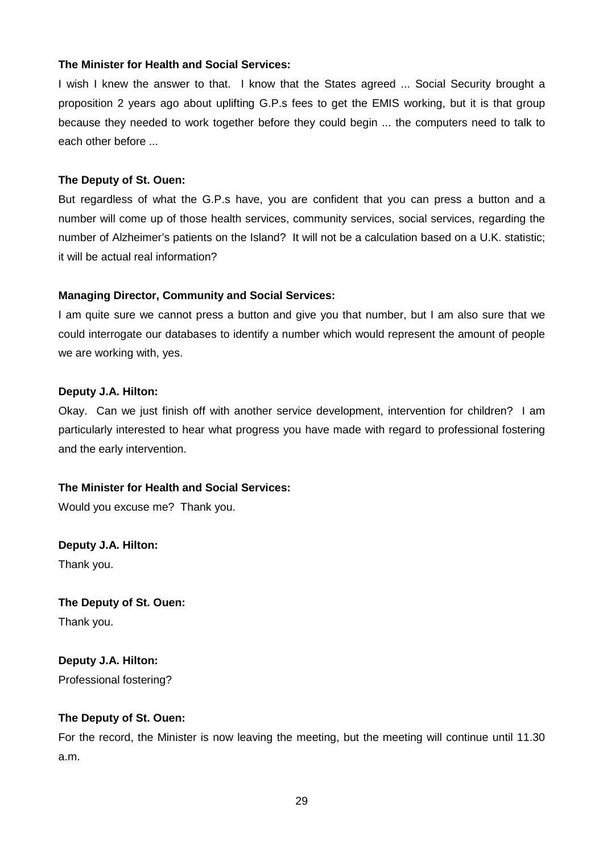#### **The Minister for Health and Social Services:**

I wish I knew the answer to that. I know that the States agreed ... Social Security brought a proposition 2 years ago about uplifting G.P.s fees to get the EMIS working, but it is that group because they needed to work together before they could begin ... the computers need to talk to each other before ...

#### **The Deputy of St. Ouen:**

But regardless of what the G.P.s have, you are confident that you can press a button and a number will come up of those health services, community services, social services, regarding the number of Alzheimer's patients on the Island? It will not be a calculation based on a U.K. statistic; it will be actual real information?

## **Managing Director, Community and Social Services:**

I am quite sure we cannot press a button and give you that number, but I am also sure that we could interrogate our databases to identify a number which would represent the amount of people we are working with, yes.

#### **Deputy J.A. Hilton:**

Okay. Can we just finish off with another service development, intervention for children? I am particularly interested to hear what progress you have made with regard to professional fostering and the early intervention.

## **The Minister for Health and Social Services:**

Would you excuse me? Thank you.

**Deputy J.A. Hilton:** Thank you.

**The Deputy of St. Ouen:** Thank you.

**Deputy J.A. Hilton:** Professional fostering?

## **The Deputy of St. Ouen:**

For the record, the Minister is now leaving the meeting, but the meeting will continue until 11.30 a.m.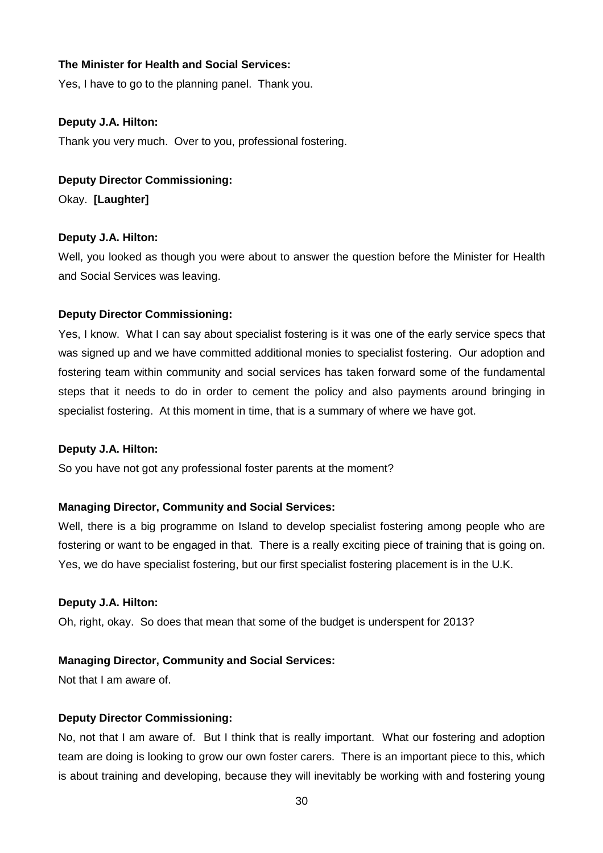#### **The Minister for Health and Social Services:**

Yes, I have to go to the planning panel. Thank you.

#### **Deputy J.A. Hilton:**

Thank you very much. Over to you, professional fostering.

#### **Deputy Director Commissioning:**

Okay. **[Laughter]** 

#### **Deputy J.A. Hilton:**

Well, you looked as though you were about to answer the question before the Minister for Health and Social Services was leaving.

#### **Deputy Director Commissioning:**

Yes, I know. What I can say about specialist fostering is it was one of the early service specs that was signed up and we have committed additional monies to specialist fostering. Our adoption and fostering team within community and social services has taken forward some of the fundamental steps that it needs to do in order to cement the policy and also payments around bringing in specialist fostering. At this moment in time, that is a summary of where we have got.

#### **Deputy J.A. Hilton:**

So you have not got any professional foster parents at the moment?

#### **Managing Director, Community and Social Services:**

Well, there is a big programme on Island to develop specialist fostering among people who are fostering or want to be engaged in that. There is a really exciting piece of training that is going on. Yes, we do have specialist fostering, but our first specialist fostering placement is in the U.K.

#### **Deputy J.A. Hilton:**

Oh, right, okay. So does that mean that some of the budget is underspent for 2013?

## **Managing Director, Community and Social Services:**

Not that I am aware of.

#### **Deputy Director Commissioning:**

No, not that I am aware of. But I think that is really important. What our fostering and adoption team are doing is looking to grow our own foster carers. There is an important piece to this, which is about training and developing, because they will inevitably be working with and fostering young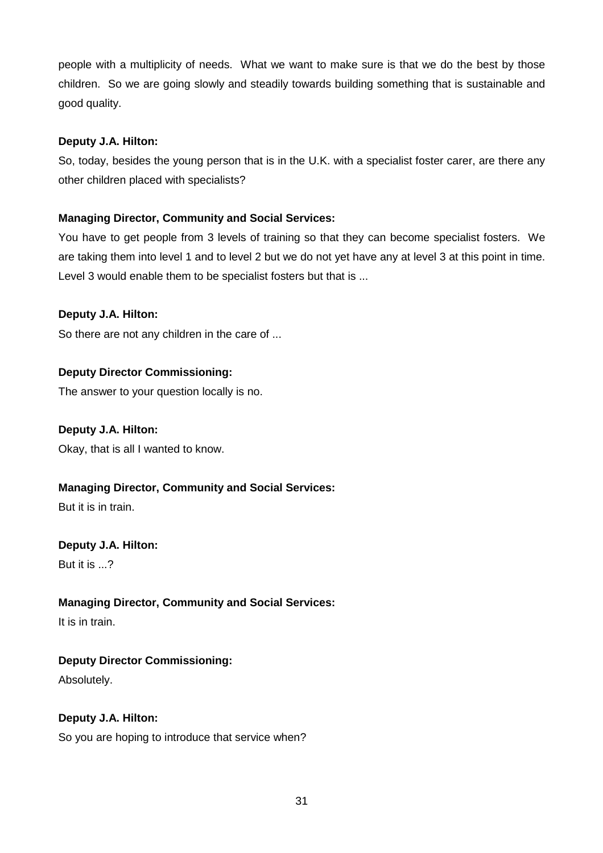people with a multiplicity of needs. What we want to make sure is that we do the best by those children. So we are going slowly and steadily towards building something that is sustainable and good quality.

## **Deputy J.A. Hilton:**

So, today, besides the young person that is in the U.K. with a specialist foster carer, are there any other children placed with specialists?

## **Managing Director, Community and Social Services:**

You have to get people from 3 levels of training so that they can become specialist fosters. We are taking them into level 1 and to level 2 but we do not yet have any at level 3 at this point in time. Level 3 would enable them to be specialist fosters but that is ...

## **Deputy J.A. Hilton:**

So there are not any children in the care of ...

## **Deputy Director Commissioning:**

The answer to your question locally is no.

## **Deputy J.A. Hilton:**

Okay, that is all I wanted to know.

## **Managing Director, Community and Social Services:**

But it is in train.

## **Deputy J.A. Hilton:**

But it is ...?

## **Managing Director, Community and Social Services:**

It is in train.

## **Deputy Director Commissioning:**

Absolutely.

## **Deputy J.A. Hilton:**

So you are hoping to introduce that service when?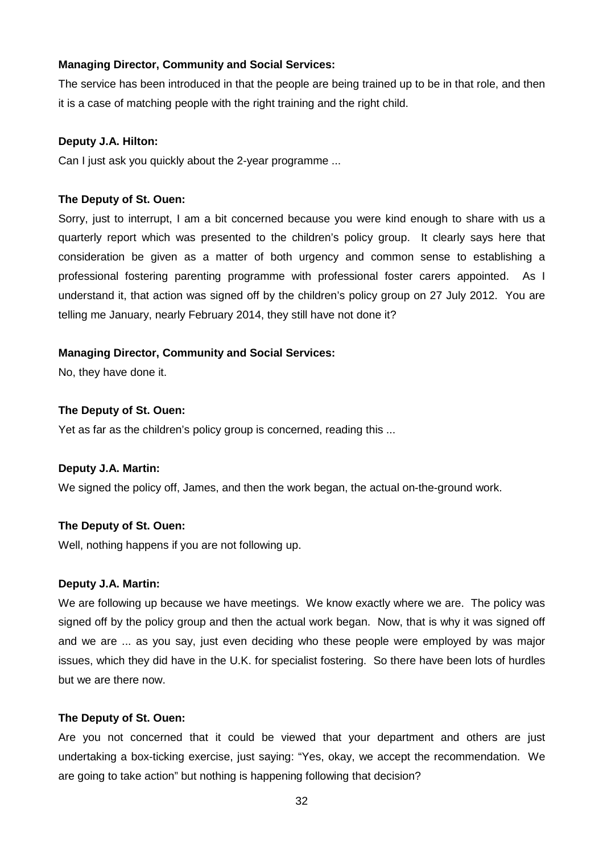## **Managing Director, Community and Social Services:**

The service has been introduced in that the people are being trained up to be in that role, and then it is a case of matching people with the right training and the right child.

## **Deputy J.A. Hilton:**

Can I just ask you quickly about the 2-year programme ...

## **The Deputy of St. Ouen:**

Sorry, just to interrupt, I am a bit concerned because you were kind enough to share with us a quarterly report which was presented to the children's policy group. It clearly says here that consideration be given as a matter of both urgency and common sense to establishing a professional fostering parenting programme with professional foster carers appointed. As I understand it, that action was signed off by the children's policy group on 27 July 2012. You are telling me January, nearly February 2014, they still have not done it?

## **Managing Director, Community and Social Services:**

No, they have done it.

## **The Deputy of St. Ouen:**

Yet as far as the children's policy group is concerned, reading this ...

## **Deputy J.A. Martin:**

We signed the policy off, James, and then the work began, the actual on-the-ground work.

## **The Deputy of St. Ouen:**

Well, nothing happens if you are not following up.

## **Deputy J.A. Martin:**

We are following up because we have meetings. We know exactly where we are. The policy was signed off by the policy group and then the actual work began. Now, that is why it was signed off and we are ... as you say, just even deciding who these people were employed by was major issues, which they did have in the U.K. for specialist fostering. So there have been lots of hurdles but we are there now.

## **The Deputy of St. Ouen:**

Are you not concerned that it could be viewed that your department and others are just undertaking a box-ticking exercise, just saying: "Yes, okay, we accept the recommendation. We are going to take action" but nothing is happening following that decision?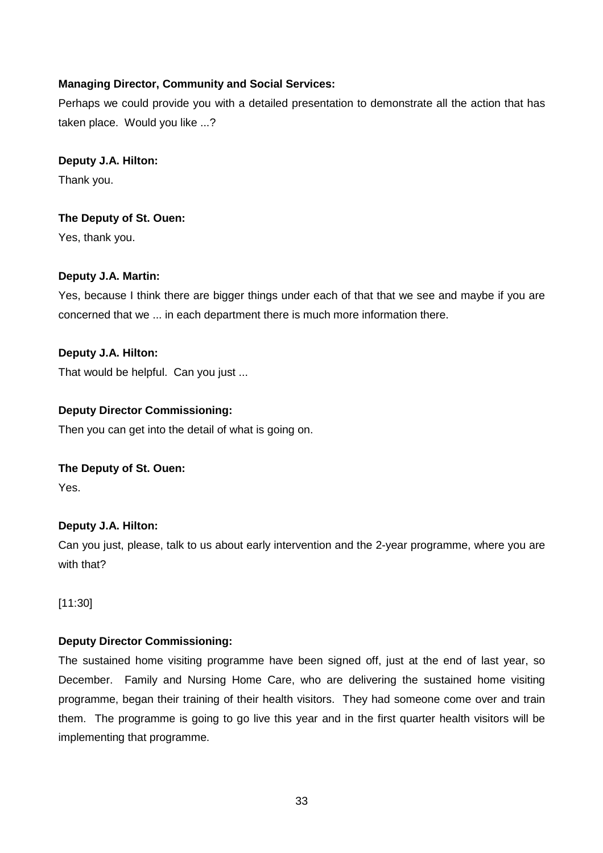## **Managing Director, Community and Social Services:**

Perhaps we could provide you with a detailed presentation to demonstrate all the action that has taken place. Would you like ...?

**Deputy J.A. Hilton:** Thank you.

## **The Deputy of St. Ouen:**

Yes, thank you.

## **Deputy J.A. Martin:**

Yes, because I think there are bigger things under each of that that we see and maybe if you are concerned that we ... in each department there is much more information there.

## **Deputy J.A. Hilton:**

That would be helpful. Can you just ...

## **Deputy Director Commissioning:**

Then you can get into the detail of what is going on.

## **The Deputy of St. Ouen:**

Yes.

## **Deputy J.A. Hilton:**

Can you just, please, talk to us about early intervention and the 2-year programme, where you are with that?

[11:30]

## **Deputy Director Commissioning:**

The sustained home visiting programme have been signed off, just at the end of last year, so December. Family and Nursing Home Care, who are delivering the sustained home visiting programme, began their training of their health visitors. They had someone come over and train them. The programme is going to go live this year and in the first quarter health visitors will be implementing that programme.